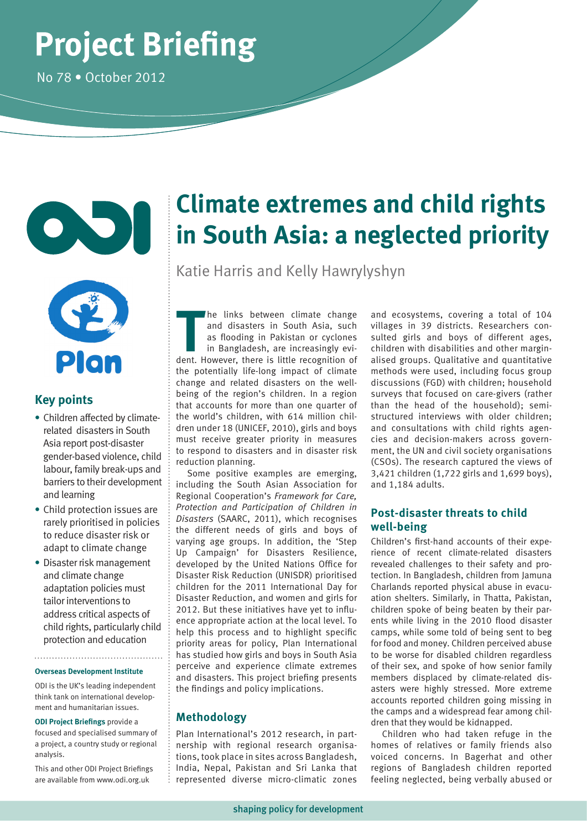# **Project Briefing**

No 78 • October 2012





#### **Key points**

- **•** Children affected by climaterelated disasters in South Asia report post-disaster gender-based violence, child labour, family break-ups and barriers to their development and learning
- **•** Child protection issues are rarely prioritised in policies to reduce disaster risk or adapt to climate change
- **•** Disaster risk management and climate change adaptation policies must tailor interventions to address critical aspects of child rights, particularly child protection and education

**Overseas Development Institute**

ODI is the UK's leading independent think tank on international development and humanitarian issues.

**ODI Project Briefings** provide a

focused and specialised summary of a project, a country study or regional analysis.

This and other ODI Project Briefings are available from www.odi.org.uk

## **Climate extremes and child rights in South Asia: a neglected priority**

Katie Harris and Kelly Hawrylyshyn

The links between climate change<br>
and disasters in South Asia, such<br>
as flooding in Pakistan or cyclones<br>
in Bangladesh, are increasingly evi-<br>
dent. However, there is little recognition of he links between climate change and disasters in South Asia, such as flooding in Pakistan or cyclones in Bangladesh, are increasingly evithe potentially life-long impact of climate change and related disasters on the wellbeing of the region's children. In a region that accounts for more than one quarter of the world's children, with 614 million children under 18 (UNICEF, 2010), girls and boys must receive greater priority in measures to respond to disasters and in disaster risk reduction planning.

Some positive examples are emerging, including the South Asian Association for Regional Cooperation's *Framework for Care, Protection and Participation of Children in Disasters* (SAARC, 2011), which recognises the different needs of girls and boys of varying age groups. In addition, the 'Step Up Campaign' for Disasters Resilience, developed by the United Nations Office for Disaster Risk Reduction (UNISDR) prioritised children for the 2011 International Day for Disaster Reduction, and women and girls for 2012. But these initiatives have yet to influence appropriate action at the local level. To help this process and to highlight specific priority areas for policy, Plan International has studied how girls and boys in South Asia perceive and experience climate extremes and disasters. This project briefing presents the findings and policy implications.

#### **Methodology**

Plan International's 2012 research, in partnership with regional research organisations, took place in sites across Bangladesh, India, Nepal, Pakistan and Sri Lanka that represented diverse micro-climatic zones

and ecosystems, covering a total of 104 villages in 39 districts. Researchers consulted girls and boys of different ages, children with disabilities and other marginalised groups. Qualitative and quantitative methods were used, including focus group discussions (FGD) with children; household surveys that focused on care-givers (rather than the head of the household); semistructured interviews with older children; and consultations with child rights agencies and decision-makers across government, the UN and civil society organisations (CSOs). The research captured the views of 3,421 children (1,722 girls and 1,699 boys), and 1,184 adults.

#### **Post-disaster threats to child well-being**

Children's first-hand accounts of their experience of recent climate-related disasters revealed challenges to their safety and protection. In Bangladesh, children from Jamuna Charlands reported physical abuse in evacuation shelters. Similarly, in Thatta, Pakistan, children spoke of being beaten by their parents while living in the 2010 flood disaster camps, while some told of being sent to beg for food and money. Children perceived abuse to be worse for disabled children regardless of their sex, and spoke of how senior family members displaced by climate-related disasters were highly stressed. More extreme accounts reported children going missing in the camps and a widespread fear among children that they would be kidnapped.

Children who had taken refuge in the homes of relatives or family friends also voiced concerns. In Bagerhat and other regions of Bangladesh children reported feeling neglected, being verbally abused or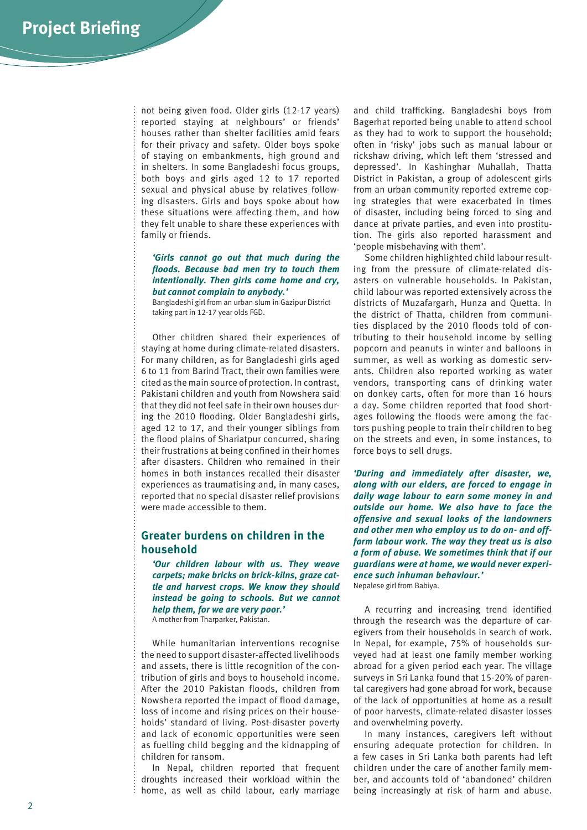not being given food. Older girls (12-17 years) reported staying at neighbours' or friends' houses rather than shelter facilities amid fears for their privacy and safety. Older boys spoke of staying on embankments, high ground and in shelters. In some Bangladeshi focus groups, both boys and girls aged 12 to 17 reported sexual and physical abuse by relatives following disasters. Girls and boys spoke about how these situations were affecting them, and how they felt unable to share these experiences with family or friends.

#### *'Girls cannot go out that much during the floods. Because bad men try to touch them intentionally. Then girls come home and cry, but cannot complain to anybody.'*

Bangladeshi girl from an urban slum in Gazipur District taking part in 12-17 year olds FGD.

Other children shared their experiences of staying at home during climate-related disasters. For many children, as for Bangladeshi girls aged 6 to 11 from Barind Tract, their own families were cited as the main source of protection. In contrast, Pakistani children and youth from Nowshera said that they did not feel safe in their own houses during the 2010 flooding. Older Bangladeshi girls, aged 12 to 17, and their younger siblings from the flood plains of Shariatpur concurred, sharing their frustrations at being confined in their homes after disasters. Children who remained in their homes in both instances recalled their disaster experiences as traumatising and, in many cases, reported that no special disaster relief provisions were made accessible to them.

#### **Greater burdens on children in the household**

*'Our children labour with us. They weave carpets; make bricks on brick-kilns, graze cattle and harvest crops. We know they should instead be going to schools. But we cannot help them, for we are very poor.'*  A mother from Tharparker, Pakistan.

While humanitarian interventions recognise the need to support disaster-affected livelihoods and assets, there is little recognition of the contribution of girls and boys to household income. After the 2010 Pakistan floods, children from Nowshera reported the impact of flood damage, loss of income and rising prices on their households' standard of living. Post-disaster poverty and lack of economic opportunities were seen as fuelling child begging and the kidnapping of children for ransom.

In Nepal, children reported that frequent droughts increased their workload within the home, as well as child labour, early marriage

and child trafficking. Bangladeshi boys from Bagerhat reported being unable to attend school as they had to work to support the household; often in 'risky' jobs such as manual labour or rickshaw driving, which left them 'stressed and depressed'. In Kashinghar Muhallah, Thatta District in Pakistan, a group of adolescent girls from an urban community reported extreme coping strategies that were exacerbated in times of disaster, including being forced to sing and dance at private parties, and even into prostitution. The girls also reported harassment and 'people misbehaving with them'.

Some children highlighted child labour resulting from the pressure of climate-related disasters on vulnerable households. In Pakistan, child labour was reported extensively across the districts of Muzafargarh, Hunza and Quetta. In the district of Thatta, children from communities displaced by the 2010 floods told of contributing to their household income by selling popcorn and peanuts in winter and balloons in summer, as well as working as domestic servants. Children also reported working as water vendors, transporting cans of drinking water on donkey carts, often for more than 16 hours a day. Some children reported that food shortages following the floods were among the factors pushing people to train their children to beg on the streets and even, in some instances, to force boys to sell drugs.

*'During and immediately after disaster, we, along with our elders, are forced to engage in daily wage labour to earn some money in and outside our home. We also have to face the offensive and sexual looks of the landowners and other men who employ us to do on- and offfarm labour work. The way they treat us is also a form of abuse. We sometimes think that if our guardians were at home, we would never experience such inhuman behaviour.'*  Nepalese girl from Babiya.

A recurring and increasing trend identified through the research was the departure of caregivers from their households in search of work. In Nepal, for example, 75% of households surveyed had at least one family member working abroad for a given period each year. The village surveys in Sri Lanka found that 15-20% of parental caregivers had gone abroad for work, because of the lack of opportunities at home as a result of poor harvests, climate-related disaster losses

In many instances, caregivers left without ensuring adequate protection for children. In a few cases in Sri Lanka both parents had left children under the care of another family member, and accounts told of 'abandoned' children being increasingly at risk of harm and abuse.

and overwhelming poverty.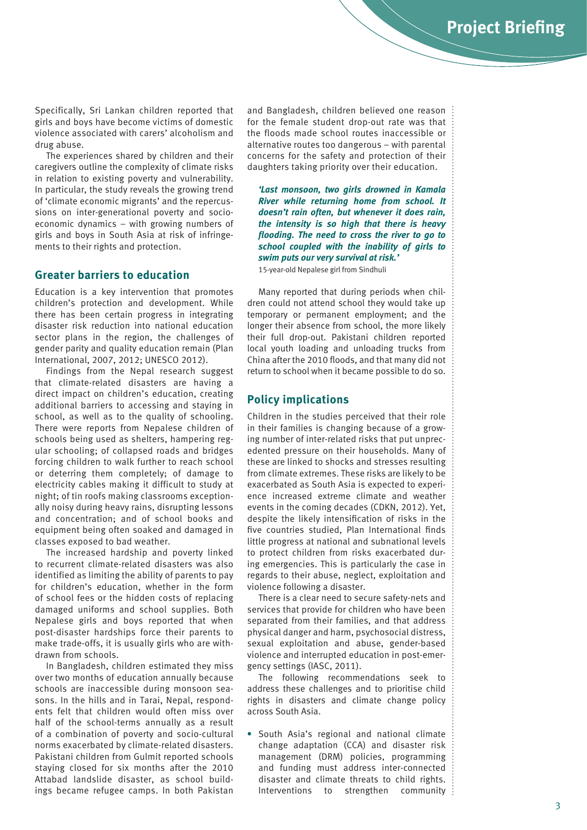Specifically, Sri Lankan children reported that girls and boys have become victims of domestic violence associated with carers' alcoholism and drug abuse.

The experiences shared by children and their caregivers outline the complexity of climate risks in relation to existing poverty and vulnerability. In particular, the study reveals the growing trend of 'climate economic migrants' and the repercussions on inter-generational poverty and socioeconomic dynamics – with growing numbers of girls and boys in South Asia at risk of infringements to their rights and protection.

#### **Greater barriers to education**

Education is a key intervention that promotes children's protection and development. While there has been certain progress in integrating disaster risk reduction into national education sector plans in the region, the challenges of gender parity and quality education remain (Plan International, 2007, 2012; UNESCO 2012).

Findings from the Nepal research suggest that climate-related disasters are having a direct impact on children's education, creating additional barriers to accessing and staying in school, as well as to the quality of schooling. There were reports from Nepalese children of schools being used as shelters, hampering regular schooling; of collapsed roads and bridges forcing children to walk further to reach school or deterring them completely; of damage to electricity cables making it difficult to study at night; of tin roofs making classrooms exceptionally noisy during heavy rains, disrupting lessons and concentration; and of school books and equipment being often soaked and damaged in classes exposed to bad weather.

The increased hardship and poverty linked to recurrent climate-related disasters was also identified as limiting the ability of parents to pay for children's education, whether in the form of school fees or the hidden costs of replacing damaged uniforms and school supplies. Both Nepalese girls and boys reported that when post-disaster hardships force their parents to make trade-offs, it is usually girls who are withdrawn from schools.

In Bangladesh, children estimated they miss over two months of education annually because schools are inaccessible during monsoon seasons. In the hills and in Tarai, Nepal, respondents felt that children would often miss over half of the school-terms annually as a result of a combination of poverty and socio-cultural norms exacerbated by climate-related disasters. Pakistani children from Gulmit reported schools staying closed for six months after the 2010 Attabad landslide disaster, as school buildings became refugee camps. In both Pakistan and Bangladesh, children believed one reason for the female student drop-out rate was that the floods made school routes inaccessible or alternative routes too dangerous – with parental concerns for the safety and protection of their daughters taking priority over their education.

*'Last monsoon, two girls drowned in Kamala River while returning home from school. It doesn't rain often, but whenever it does rain, the intensity is so high that there is heavy flooding. The need to cross the river to go to school coupled with the inability of girls to swim puts our very survival at risk.'* 

15-year-old Nepalese girl from Sindhuli

Many reported that during periods when children could not attend school they would take up temporary or permanent employment; and the longer their absence from school, the more likely their full drop-out. Pakistani children reported local youth loading and unloading trucks from China after the 2010 floods, and that many did not return to school when it became possible to do so.

#### **Policy implications**

Children in the studies perceived that their role in their families is changing because of a growing number of inter-related risks that put unprecedented pressure on their households. Many of these are linked to shocks and stresses resulting from climate extremes. These risks are likely to be exacerbated as South Asia is expected to experience increased extreme climate and weather events in the coming decades (CDKN, 2012). Yet, despite the likely intensification of risks in the five countries studied, Plan International finds little progress at national and subnational levels to protect children from risks exacerbated during emergencies. This is particularly the case in regards to their abuse, neglect, exploitation and violence following a disaster.

There is a clear need to secure safety-nets and services that provide for children who have been separated from their families, and that address physical danger and harm, psychosocial distress, sexual exploitation and abuse, gender-based violence and interrupted education in post-emergency settings (IASC, 2011).

The following recommendations seek to address these challenges and to prioritise child rights in disasters and climate change policy across South Asia.

**•** South Asia's regional and national climate change adaptation (CCA) and disaster risk management (DRM) policies, programming and funding must address inter-connected disaster and climate threats to child rights. Interventions to strengthen community